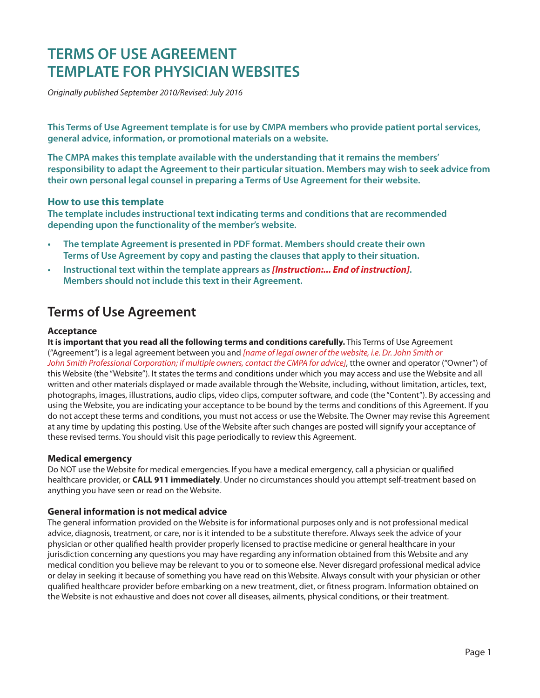# **TERMS OF USE AGREEMENT TEMPLATE FOR PHYSICIAN WEBSITES**

*Originally published September 2010/Revised: July 2016* 

**This Terms of Use Agreement template is for use by CMPA members who provide patient portal services, general advice, information, or promotional materials on a website.** 

**The CMPA makes this template available with the understanding that it remains the members' responsibility to adapt the Agreement to their particular situation. Members may wish to seek advice from their own personal legal counsel in preparing a Terms of Use Agreement for their website.** 

# **How to use this template**

**The template includes instructional text indicating terms and conditions that are recommended depending upon the functionality of the member's website.** 

- **The template Agreement is presented in PDF format. Members should create their own Terms of Use Agreement by copy and pasting the clauses that apply to their situation.**
- **Instructional text within the template apprears as** *[Instruction:... End of instruction]***. Members should not include this text in their Agreement.**

# **Terms of Use Agreement**

# **Acceptance**

**It is important that you read all the following terms and conditions carefully.** This Terms of Use Agreement ("Agreement") is a legal agreement between you and *[name of legal owner of the website, i.e. Dr. John Smith or John Smith Professional Corporation; if multiple owners, contact the CMPA for advice]*, tthe owner and operator ("Owner") of this Website (the "Website"). It states the terms and conditions under which you may access and use the Website and all written and other materials displayed or made available through the Website, including, without limitation, articles, text, photographs, images, illustrations, audio clips, video clips, computer software, and code (the "Content"). By accessing and using the Website, you are indicating your acceptance to be bound by the terms and conditions of this Agreement. If you do not accept these terms and conditions, you must not access or use the Website. The Owner may revise this Agreement at any time by updating this posting. Use of the Website after such changes are posted will signify your acceptance of these revised terms. You should visit this page periodically to review this Agreement.

# **Medical emergency**

Do NOT use the Website for medical emergencies. If you have a medical emergency, call a physician or qualified healthcare provider, or **CALL 911 immediately**. Under no circumstances should you attempt self-treatment based on anything you have seen or read on the Website.

# **General information is not medical advice**

The general information provided on the Website is for informational purposes only and is not professional medical advice, diagnosis, treatment, or care, nor is it intended to be a substitute therefore. Always seek the advice of your physician or other qualified health provider properly licensed to practise medicine or general healthcare in your jurisdiction concerning any questions you may have regarding any information obtained from this Website and any medical condition you believe may be relevant to you or to someone else. Never disregard professional medical advice or delay in seeking it because of something you have read on this Website. Always consult with your physician or other qualified healthcare provider before embarking on a new treatment, diet, or fitness program. Information obtained on the Website is not exhaustive and does not cover all diseases, ailments, physical conditions, or their treatment.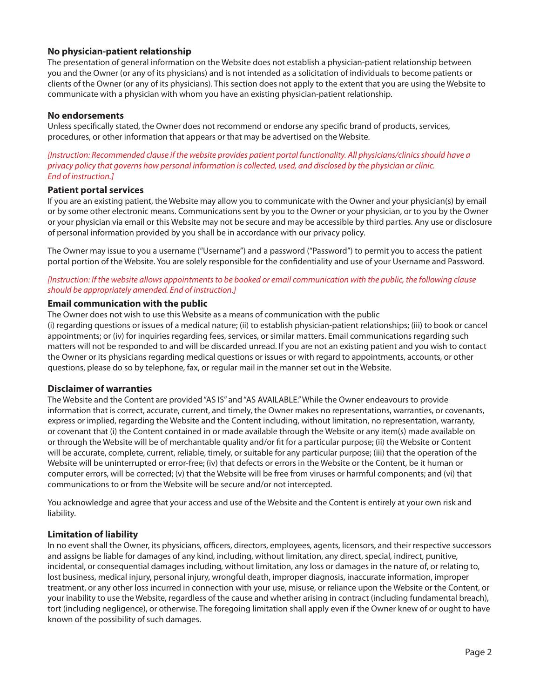# **No physician-patient relationship**

The presentation of general information on the Website does not establish a physician-patient relationship between you and the Owner (or any of its physicians) and is not intended as a solicitation of individuals to become patients or clients of the Owner (or any of its physicians). This section does not apply to the extent that you are using the Website to communicate with a physician with whom you have an existing physician-patient relationship.

#### **No endorsements**

Unless specifically stated, the Owner does not recommend or endorse any specific brand of products, services, procedures, or other information that appears or that may be advertised on the Website.

*[Instruction: Recommended clause if the website provides patient portal functionality. All physicians/clinics should have a privacy policy that governs how personal information is collected, used, and disclosed by the physician or clinic. End of instruction.]* 

#### **Patient portal services**

If you are an existing patient, the Website may allow you to communicate with the Owner and your physician(s) by email or by some other electronic means. Communications sent by you to the Owner or your physician, or to you by the Owner or your physician via email or this Website may not be secure and may be accessible by third parties. Any use or disclosure of personal information provided by you shall be in accordance with our privacy policy.

The Owner may issue to you a username ("Username") and a password ("Password") to permit you to access the patient portal portion of the Website. You are solely responsible for the confidentiality and use of your Username and Password.

# *[Instruction: If the website allows appointments to be booked or email communication with the public, the following clause should be appropriately amended. End of instruction.]*

#### **Email communication with the public**

The Owner does not wish to use this Website as a means of communication with the public

(i) regarding questions or issues of a medical nature; (ii) to establish physician-patient relationships; (iii) to book or cancel appointments; or (iv) for inquiries regarding fees, services, or similar matters. Email communications regarding such matters will not be responded to and will be discarded unread. If you are not an existing patient and you wish to contact the Owner or its physicians regarding medical questions or issues or with regard to appointments, accounts, or other questions, please do so by telephone, fax, or regular mail in the manner set out in the Website.

#### **Disclaimer of warranties**

The Website and the Content are provided "AS IS" and "AS AVAILABLE."While the Owner endeavours to provide information that is correct, accurate, current, and timely, the Owner makes no representations, warranties, or covenants, express or implied, regarding the Website and the Content including, without limitation, no representation, warranty, or covenant that (i) the Content contained in or made available through the Website or any item(s) made available on or through the Website will be of merchantable quality and/or fit for a particular purpose; (ii) the Website or Content will be accurate, complete, current, reliable, timely, or suitable for any particular purpose; (iii) that the operation of the Website will be uninterrupted or error-free; (iv) that defects or errors in the Website or the Content, be it human or computer errors, will be corrected; (v) that the Website will be free from viruses or harmful components; and (vi) that communications to or from the Website will be secure and/or not intercepted.

You acknowledge and agree that your access and use of the Website and the Content is entirely at your own risk and liability.

# **Limitation of liability**

In no event shall the Owner, its physicians, officers, directors, employees, agents, licensors, and their respective successors and assigns be liable for damages of any kind, including, without limitation, any direct, special, indirect, punitive, incidental, or consequential damages including, without limitation, any loss or damages in the nature of, or relating to, lost business, medical injury, personal injury, wrongful death, improper diagnosis, inaccurate information, improper treatment, or any other loss incurred in connection with your use, misuse, or reliance upon the Website or the Content, or your inability to use the Website, regardless of the cause and whether arising in contract (including fundamental breach), tort (including negligence), or otherwise. The foregoing limitation shall apply even if the Owner knew of or ought to have known of the possibility of such damages.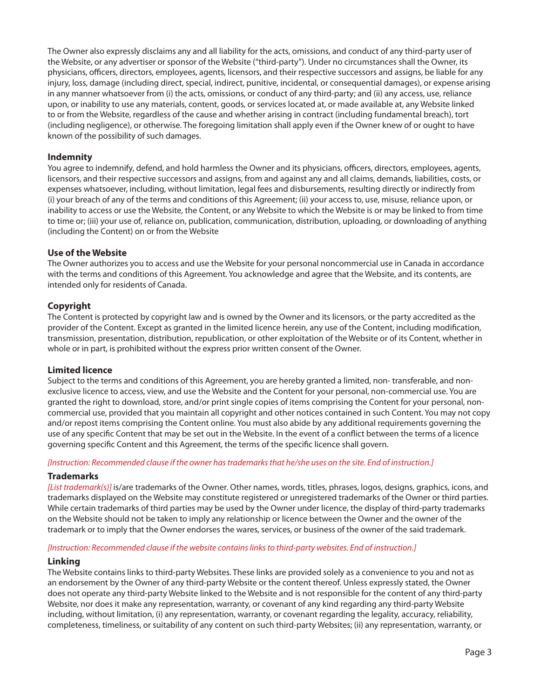The Owner also expressly disclaims any and all liability for the acts, omissions, and conduct of any third-party user of the Website, or any advertiser or sponsor of the Website ("third-party"). Under no circumstances shall the Owner, its physicians, officers, directors, employees, agents, licensors, and their respective successors and assigns, be liable for any injury, loss, damage (including direct, special, indirect, punitive, incidental, or consequential damages), or expense arising in any manner whatsoever from (i) the acts, omissions, or conduct of any third-party; and (ii) any access, use, reliance upon, or inability to use any materials, content, goods, or services located at, or made available at, any Website linked to or from the Website, regardless of the cause and whether arising in contract (including fundamental breach), tort (including negligence), or otherwise. The foregoing limitation shall apply even if the Owner knew of or ought to have known of the possibility of such damages.

# **Indemnity**

You agree to indemnify, defend, and hold harmless the Owner and its physicians, officers, directors, employees, agents, licensors, and their respective successors and assigns, from and against any and all claims, demands, liabilities, costs, or expenses whatsoever, including, without limitation, legal fees and disbursements, resulting directly or indirectly from (i) your breach of any of the terms and conditions of this Agreement; (ii) your access to, use, misuse, reliance upon, or inability to access or use the Website, the Content, or any Website to which the Website is or may be linked to from time to time or; (iii) your use of, reliance on, publication, communication, distribution, uploading, or downloading of anything (including the Content) on or from the Website

# **Use of the Website**

The Owner authorizes you to access and use the Website for your personal noncommercial use in Canada in accordance with the terms and conditions of this Agreement. You acknowledge and agree that the Website, and its contents, are intended only for residents of Canada.

# **Copyright**

The Content is protected by copyright law and is owned by the Owner and its licensors, or the party accredited as the provider of the Content. Except as granted in the limited licence herein, any use of the Content, including modification, transmission, presentation, distribution, republication, or other exploitation of the Website or of its Content, whether in whole or in part, is prohibited without the express prior written consent of the Owner.

#### **Limited licence**

Subject to the terms and conditions of this Agreement, you are hereby granted a limited, non- transferable, and nonexclusive licence to access, view, and use the Website and the Content for your personal, non-commercial use. You are granted the right to download, store, and/or print single copies of items comprising the Content for your personal, noncommercial use, provided that you maintain all copyright and other notices contained in such Content. You may not copy and/or repost items comprising the Content online. You must also abide by any additional requirements governing the use of any specific Content that may be set out in the Website. In the event of a conflict between the terms of a licence governing specific Content and this Agreement, the terms of the specific licence shall govern.

#### *[Instruction: Recommended clause if the owner has trademarks that he/she uses on the site. End of instruction.]*

#### **Trademarks**

*[List trademark(s)]* is/are trademarks of the Owner. Other names, words, titles, phrases, logos, designs, graphics, icons, and trademarks displayed on the Website may constitute registered or unregistered trademarks of the Owner or third parties. While certain trademarks of third parties may be used by the Owner under licence, the display of third-party trademarks on the Website should not be taken to imply any relationship or licence between the Owner and the owner of the trademark or to imply that the Owner endorses the wares, services, or business of the owner of the said trademark.

#### *[Instruction: Recommended clause if the website contains links to third-party websites. End of instruction.]*

#### **Linking**

The Website contains links to third-party Websites. These links are provided solely as a convenience to you and not as an endorsement by the Owner of any third-party Website or the content thereof. Unless expressly stated, the Owner does not operate any third-party Website linked to the Website and is not responsible for the content of any third-party Website, nor does it make any representation, warranty, or covenant of any kind regarding any third-party Website including, without limitation, (i) any representation, warranty, or covenant regarding the legality, accuracy, reliability, completeness, timeliness, or suitability of any content on such third-party Websites; (ii) any representation, warranty, or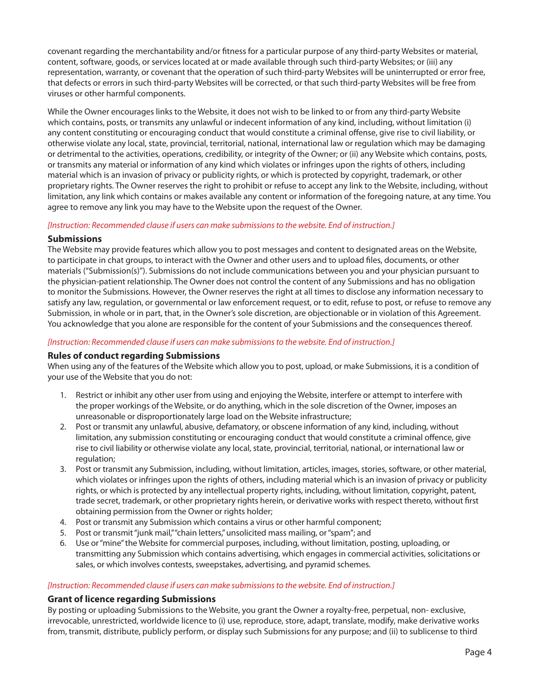covenant regarding the merchantability and/or fitness for a particular purpose of any third-party Websites or material, content, software, goods, or services located at or made available through such third-party Websites; or (iii) any representation, warranty, or covenant that the operation of such third-party Websites will be uninterrupted or error free, that defects or errors in such third-party Websites will be corrected, or that such third-party Websites will be free from viruses or other harmful components.

While the Owner encourages links to the Website, it does not wish to be linked to or from any third-party Website which contains, posts, or transmits any unlawful or indecent information of any kind, including, without limitation (i) any content constituting or encouraging conduct that would constitute a criminal offense, give rise to civil liability, or otherwise violate any local, state, provincial, territorial, national, international law or regulation which may be damaging or detrimental to the activities, operations, credibility, or integrity of the Owner; or (ii) any Website which contains, posts, or transmits any material or information of any kind which violates or infringes upon the rights of others, including material which is an invasion of privacy or publicity rights, or which is protected by copyright, trademark, or other proprietary rights. The Owner reserves the right to prohibit or refuse to accept any link to the Website, including, without limitation, any link which contains or makes available any content or information of the foregoing nature, at any time. You agree to remove any link you may have to the Website upon the request of the Owner.

# *[Instruction: Recommended clause if users can make submissions to the website. End of instruction.]*

# **Submissions**

The Website may provide features which allow you to post messages and content to designated areas on the Website, to participate in chat groups, to interact with the Owner and other users and to upload files, documents, or other materials ("Submission(s)"). Submissions do not include communications between you and your physician pursuant to the physician-patient relationship. The Owner does not control the content of any Submissions and has no obligation to monitor the Submissions. However, the Owner reserves the right at all times to disclose any information necessary to satisfy any law, regulation, or governmental or law enforcement request, or to edit, refuse to post, or refuse to remove any Submission, in whole or in part, that, in the Owner's sole discretion, are objectionable or in violation of this Agreement. You acknowledge that you alone are responsible for the content of your Submissions and the consequences thereof.

# *[Instruction: Recommended clause if users can make submissions to the website. End of instruction.]*

# **Rules of conduct regarding Submissions**

When using any of the features of the Website which allow you to post, upload, or make Submissions, it is a condition of your use of the Website that you do not:

- 1. Restrict or inhibit any other user from using and enjoying the Website, interfere or attempt to interfere with the proper workings of the Website, or do anything, which in the sole discretion of the Owner, imposes an unreasonable or disproportionately large load on the Website infrastructure;
- 2. Post or transmit any unlawful, abusive, defamatory, or obscene information of any kind, including, without limitation, any submission constituting or encouraging conduct that would constitute a criminal offence, give rise to civil liability or otherwise violate any local, state, provincial, territorial, national, or international law or regulation:
- 3. Post or transmit any Submission, including, without limitation, articles, images, stories, software, or other material, which violates or infringes upon the rights of others, including material which is an invasion of privacy or publicity rights, or which is protected by any intellectual property rights, including, without limitation, copyright, patent, trade secret, trademark, or other proprietary rights herein, or derivative works with respect thereto, without first obtaining permission from the Owner or rights holder;
- 4. Post or transmit any Submission which contains a virus or other harmful component;
- 5. Post or transmit "junk mail,""chain letters," unsolicited mass mailing, or "spam"; and
- 6. Use or "mine" the Website for commercial purposes, including, without limitation, posting, uploading, or transmitting any Submission which contains advertising, which engages in commercial activities, solicitations or sales, or which involves contests, sweepstakes, advertising, and pyramid schemes.

#### *[Instruction: Recommended clause if users can make submissions to the website. End of instruction.]*

#### **Grant of licence regarding Submissions**

By posting or uploading Submissions to the Website, you grant the Owner a royalty-free, perpetual, non- exclusive, irrevocable, unrestricted, worldwide licence to (i) use, reproduce, store, adapt, translate, modify, make derivative works from, transmit, distribute, publicly perform, or display such Submissions for any purpose; and (ii) to sublicense to third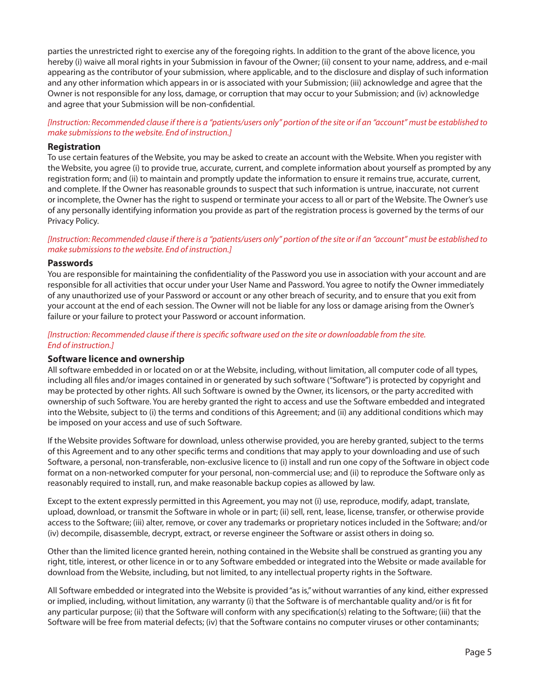parties the unrestricted right to exercise any of the foregoing rights. In addition to the grant of the above licence, you hereby (i) waive all moral rights in your Submission in favour of the Owner; (ii) consent to your name, address, and e-mail appearing as the contributor of your submission, where applicable, and to the disclosure and display of such information and any other information which appears in or is associated with your Submission; (iii) acknowledge and agree that the Owner is not responsible for any loss, damage, or corruption that may occur to your Submission; and (iv) acknowledge and agree that your Submission will be non-confidential.

*[Instruction: Recommended clause if there is a "patients/users only" portion of the site or if an "account" must be established to make submissions to the website. End of instruction.]* 

#### **Registration**

To use certain features of the Website, you may be asked to create an account with the Website. When you register with the Website, you agree (i) to provide true, accurate, current, and complete information about yourself as prompted by any registration form; and (ii) to maintain and promptly update the information to ensure it remains true, accurate, current, and complete. If the Owner has reasonable grounds to suspect that such information is untrue, inaccurate, not current or incomplete, the Owner has the right to suspend or terminate your access to all or part of the Website. The Owner's use of any personally identifying information you provide as part of the registration process is governed by the terms of our Privacy Policy.

#### *[Instruction: Recommended clause if there is a "patients/users only" portion of the site or if an "account" must be established to make submissions to the website. End of instruction.]*

#### **Passwords**

You are responsible for maintaining the confidentiality of the Password you use in association with your account and are responsible for all activities that occur under your User Name and Password. You agree to notify the Owner immediately of any unauthorized use of your Password or account or any other breach of security, and to ensure that you exit from your account at the end of each session. The Owner will not be liable for any loss or damage arising from the Owner's failure or your failure to protect your Password or account information.

#### *[Instruction: Recommended clause if there is specific software used on the site or downloadable from the site. End of instruction.]*

#### **Software licence and ownership**

All software embedded in or located on or at the Website, including, without limitation, all computer code of all types, including all files and/or images contained in or generated by such software ("Software") is protected by copyright and may be protected by other rights. All such Software is owned by the Owner, its licensors, or the party accredited with ownership of such Software. You are hereby granted the right to access and use the Software embedded and integrated into the Website, subject to (i) the terms and conditions of this Agreement; and (ii) any additional conditions which may be imposed on your access and use of such Software.

If the Website provides Software for download, unless otherwise provided, you are hereby granted, subject to the terms of this Agreement and to any other specific terms and conditions that may apply to your downloading and use of such Software, a personal, non-transferable, non-exclusive licence to (i) install and run one copy of the Software in object code format on a non-networked computer for your personal, non-commercial use; and (ii) to reproduce the Software only as reasonably required to install, run, and make reasonable backup copies as allowed by law.

Except to the extent expressly permitted in this Agreement, you may not (i) use, reproduce, modify, adapt, translate, upload, download, or transmit the Software in whole or in part; (ii) sell, rent, lease, license, transfer, or otherwise provide access to the Software; (iii) alter, remove, or cover any trademarks or proprietary notices included in the Software; and/or (iv) decompile, disassemble, decrypt, extract, or reverse engineer the Software or assist others in doing so.

Other than the limited licence granted herein, nothing contained in the Website shall be construed as granting you any right, title, interest, or other licence in or to any Software embedded or integrated into the Website or made available for download from the Website, including, but not limited, to any intellectual property rights in the Software.

All Software embedded or integrated into the Website is provided "as is," without warranties of any kind, either expressed or implied, including, without limitation, any warranty (i) that the Software is of merchantable quality and/or is fit for any particular purpose; (ii) that the Software will conform with any specification(s) relating to the Software; (iii) that the Software will be free from material defects; (iv) that the Software contains no computer viruses or other contaminants;